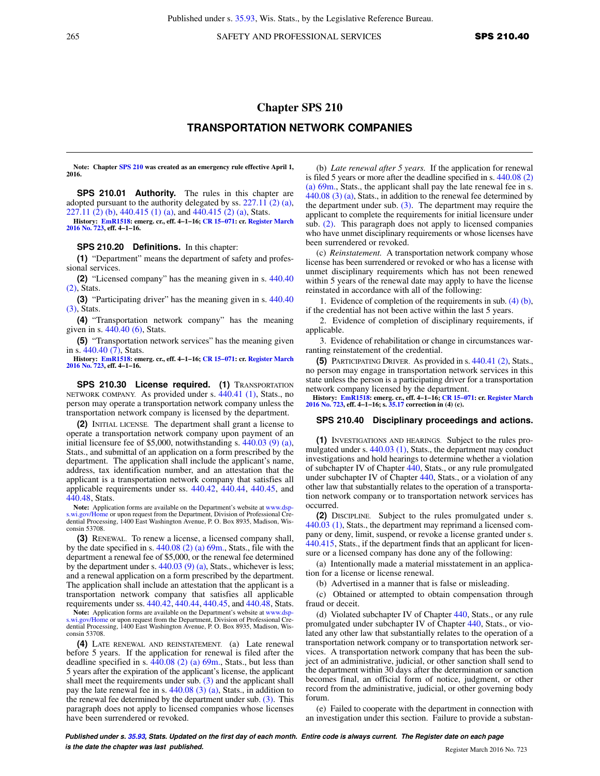265 SAFETY AND PROFESSIONAL SERVICES **SPS 210.40** 

## **Chapter SPS 210 TRANSPORTATION NETWORK COMPANIES**

**Note: Chapter [SPS 210](https://docs.legis.wisconsin.gov/document/administrativecode/ch.%20SPS%20210) was created as an emergency rule effective April 1, 2016.**

**SPS 210.01 Authority.** The rules in this chapter are adopted pursuant to the authority delegated by ss.  $227.11(2)(a)$ , [227.11 \(2\) \(b\),](https://docs.legis.wisconsin.gov/document/statutes/227.11(2)(b)) [440.415 \(1\) \(a\)](https://docs.legis.wisconsin.gov/document/statutes/440.415(1)(a)), and [440.415 \(2\) \(a\),](https://docs.legis.wisconsin.gov/document/statutes/440.415(2)(a)) Stats.

**History: [EmR1518](https://docs.legis.wisconsin.gov/document/emergencyrules/EmR1518): emerg. cr., eff. 4−1−16; [CR 15−071:](https://docs.legis.wisconsin.gov/document/cr/2015/71) cr. [Register March](https://docs.legis.wisconsin.gov/document/register/723/B/toc) [2016 No. 723](https://docs.legis.wisconsin.gov/document/register/723/B/toc), eff. 4−1−16.**

## **SPS 210.20 Definitions.** In this chapter:

**(1)** "Department" means the department of safety and professional services.

**(2)** "Licensed company" has the meaning given in s. [440.40](https://docs.legis.wisconsin.gov/document/statutes/440.40(2)) [\(2\)](https://docs.legis.wisconsin.gov/document/statutes/440.40(2)), Stats.

**(3)** "Participating driver" has the meaning given in s. [440.40](https://docs.legis.wisconsin.gov/document/statutes/440.40(3)) [\(3\)](https://docs.legis.wisconsin.gov/document/statutes/440.40(3)), Stats.

**(4)** "Transportation network company" has the meaning given in s.  $440.40$  (6), Stats.

**(5)** "Transportation network services" has the meaning given in s. [440.40 \(7\),](https://docs.legis.wisconsin.gov/document/statutes/440.40(7)) Stats.

**History: [EmR1518](https://docs.legis.wisconsin.gov/document/emergencyrules/EmR1518): emerg. cr., eff. 4−1−16; [CR 15−071:](https://docs.legis.wisconsin.gov/document/cr/2015/71) cr. [Register March](https://docs.legis.wisconsin.gov/document/register/723/B/toc) [2016 No. 723](https://docs.legis.wisconsin.gov/document/register/723/B/toc), eff. 4−1−16.**

**SPS 210.30 License required. (1)** TRANSPORTATION NETWORK COMPANY. As provided under s. [440.41 \(1\)](https://docs.legis.wisconsin.gov/document/statutes/440.41(1)), Stats., no person may operate a transportation network company unless the transportation network company is licensed by the department.

**(2)** INITIAL LICENSE. The department shall grant a license to operate a transportation network company upon payment of an initial licensure fee of \$5,000, notwithstanding s. [440.03 \(9\) \(a\),](https://docs.legis.wisconsin.gov/document/statutes/440.03(9)(a)) Stats., and submittal of an application on a form prescribed by the department. The application shall include the applicant's name, address, tax identification number, and an attestation that the applicant is a transportation network company that satisfies all applicable requirements under ss. [440.42](https://docs.legis.wisconsin.gov/document/statutes/440.42), [440.44,](https://docs.legis.wisconsin.gov/document/statutes/440.44) [440.45](https://docs.legis.wisconsin.gov/document/statutes/440.45), and [440.48,](https://docs.legis.wisconsin.gov/document/statutes/440.48) Stats.

Note: Application forms are available on the Department's website at www.dsp-[s.wi.gov/Home](http://www.dsps.wi.gov/Home) or upon request from the Department, Division of Professional Credential Processing, 1400 East Washington Avenue, P. O. Box 8935, Madison, Wisconsin 53708.

**(3)** RENEWAL. To renew a license, a licensed company shall, by the date specified in s.  $440.08$  (2) (a)  $69m$ ., Stats., file with the department a renewal fee of \$5,000, or the renewal fee determined by the department under s.  $440.03$  (9) (a), Stats., whichever is less; and a renewal application on a form prescribed by the department. The application shall include an attestation that the applicant is a transportation network company that satisfies all applicable requirements under ss. [440.42,](https://docs.legis.wisconsin.gov/document/statutes/440.42) [440.44,](https://docs.legis.wisconsin.gov/document/statutes/440.44) [440.45,](https://docs.legis.wisconsin.gov/document/statutes/440.45) and [440.48](https://docs.legis.wisconsin.gov/document/statutes/440.48), Stats.

**Note:** Application forms are available on the Department's website at [www.dsp](http://www.dsps.wi.gov/Home)[s.wi.gov/Home](http://www.dsps.wi.gov/Home) or upon request from the Department, Division of Professional Credential Processing, 1400 East Washington Avenue, P. O. Box 8935, Madison, Wisconsin 53708.

**(4)** LATE RENEWAL AND REINSTATEMENT. (a) Late renewal before 5 years. If the application for renewal is filed after the deadline specified in s.  $\overline{440.08}$  (2) (a) 69m., Stats., but less than 5 years after the expiration of the applicant's license, the applicant shall meet the requirements under sub. [\(3\)](https://docs.legis.wisconsin.gov/document/administrativecode/SPS%20210.30(3)) and the applicant shall pay the late renewal fee in s. [440.08 \(3\) \(a\),](https://docs.legis.wisconsin.gov/document/statutes/440.08(3)(a)) Stats., in addition to the renewal fee determined by the department under sub. [\(3\).](https://docs.legis.wisconsin.gov/document/administrativecode/SPS%20210.30(3)) This paragraph does not apply to licensed companies whose licenses have been surrendered or revoked.

(b) *Late renewal after 5 years.* If the application for renewal is filed 5 years or more after the deadline specified in s. [440.08 \(2\)](https://docs.legis.wisconsin.gov/document/statutes/440.08(2)(a)69m.) [\(a\) 69m.,](https://docs.legis.wisconsin.gov/document/statutes/440.08(2)(a)69m.) Stats., the applicant shall pay the late renewal fee in s. [440.08 \(3\) \(a\),](https://docs.legis.wisconsin.gov/document/statutes/440.08(3)(a)) Stats., in addition to the renewal fee determined by the department under sub.  $(3)$ . The department may require the applicant to complete the requirements for initial licensure under sub. [\(2\)](https://docs.legis.wisconsin.gov/document/administrativecode/SPS%20210.30(2)). This paragraph does not apply to licensed companies who have unmet disciplinary requirements or whose licenses have been surrendered or revoked.

(c) *Reinstatement.* A transportation network company whose license has been surrendered or revoked or who has a license with unmet disciplinary requirements which has not been renewed within 5 years of the renewal date may apply to have the license reinstated in accordance with all of the following:

1. Evidence of completion of the requirements in sub. [\(4\) \(b\),](https://docs.legis.wisconsin.gov/document/administrativecode/SPS%20210.30(4)(b)) if the credential has not been active within the last 5 years.

2. Evidence of completion of disciplinary requirements, if applicable.

3. Evidence of rehabilitation or change in circumstances warranting reinstatement of the credential.

**(5)** PARTICIPATING DRIVER. As provided in s. [440.41 \(2\),](https://docs.legis.wisconsin.gov/document/statutes/440.41(2)) Stats., no person may engage in transportation network services in this state unless the person is a participating driver for a transportation network company licensed by the department.

**History: [EmR1518](https://docs.legis.wisconsin.gov/document/emergencyrules/EmR1518): emerg. cr., eff. 4−1−16; [CR 15−071](https://docs.legis.wisconsin.gov/document/cr/2015/71): cr. [Register March](https://docs.legis.wisconsin.gov/document/register/723/B/toc) [2016 No. 723,](https://docs.legis.wisconsin.gov/document/register/723/B/toc) eff. 4−1−16; s. [35.17](https://docs.legis.wisconsin.gov/document/statutes/35.17) correction in (4) (c).**

## **SPS 210.40 Disciplinary proceedings and actions.**

**(1)** INVESTIGATIONS AND HEARINGS. Subject to the rules promulgated under s. [440.03 \(1\),](https://docs.legis.wisconsin.gov/document/statutes/440.03(1)) Stats., the department may conduct investigations and hold hearings to determine whether a violation of subchapter IV of Chapter [440,](https://docs.legis.wisconsin.gov/document/statutes/ch.%20440) Stats., or any rule promulgated under subchapter IV of Chapter [440](https://docs.legis.wisconsin.gov/document/statutes/ch.%20440), Stats., or a violation of any other law that substantially relates to the operation of a transportation network company or to transportation network services has occurred.

**(2)** DISCIPLINE. Subject to the rules promulgated under s. [440.03 \(1\)](https://docs.legis.wisconsin.gov/document/statutes/440.03(1)), Stats., the department may reprimand a licensed company or deny, limit, suspend, or revoke a license granted under s. [440.415,](https://docs.legis.wisconsin.gov/document/statutes/440.415) Stats., if the department finds that an applicant for licensure or a licensed company has done any of the following:

(a) Intentionally made a material misstatement in an application for a license or license renewal.

(b) Advertised in a manner that is false or misleading.

(c) Obtained or attempted to obtain compensation through fraud or deceit.

(d) Violated subchapter IV of Chapter [440,](https://docs.legis.wisconsin.gov/document/statutes/ch.%20440) Stats., or any rule promulgated under subchapter IV of Chapter [440,](https://docs.legis.wisconsin.gov/document/statutes/ch.%20440) Stats., or violated any other law that substantially relates to the operation of a transportation network company or to transportation network services. A transportation network company that has been the subject of an administrative, judicial, or other sanction shall send to the department within 30 days after the determination or sanction becomes final, an official form of notice, judgment, or other record from the administrative, judicial, or other governing body forum.

(e) Failed to cooperate with the department in connection with an investigation under this section. Failure to provide a substan-

**Published under s. [35.93,](https://docs.legis.wisconsin.gov/document/statutes/35.93) Stats. Updated on the first day of each month. Entire code is always current. The Register date on each page is the date the chapter was last published. Compared 1999 Compared 1999 Register March 2016 No. 723**